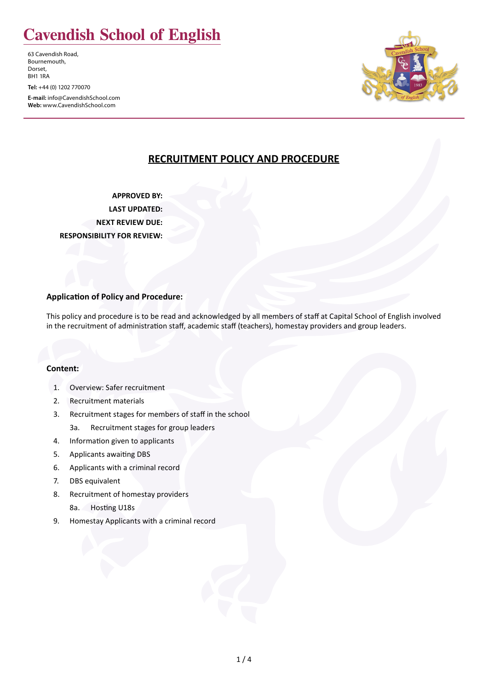# **Cavendish School of English**

63 Cavendish Road, Bournemouth, Dorset, BH1 1RA

**Tel:** +44 (0) 1202 770070

**E-mail:** info@CavendishSchool.com **Web:** www.CavendishSchool.com



# **RECRUITMENT POLICY AND PROCEDURE**

**APPROVED BY: LAST UPDATED: NEXT REVIEW DUE: RESPONSIBILITY FOR REVIEW:**

#### **Application of Policy and Procedure:**

This policy and procedure is to be read and acknowledged by all members of staff at Capital School of English involved in the recruitment of administration staff, academic staff (teachers), homestay providers and group leaders.

#### **Content:**

- 1. Overview: Safer recruitment
- 2. Recruitment materials
- 3. Recruitment stages for members of staff in the school
	- 3a. Recruitment stages for group leaders
- 4. Information given to applicants
- 5. Applicants awaiting DBS
- 6. Applicants with a criminal record
- 7. DBS equivalent
- 8. Recruitment of homestay providers
	- 8a. Hosting U18s
- 9. Homestay Applicants with a criminal record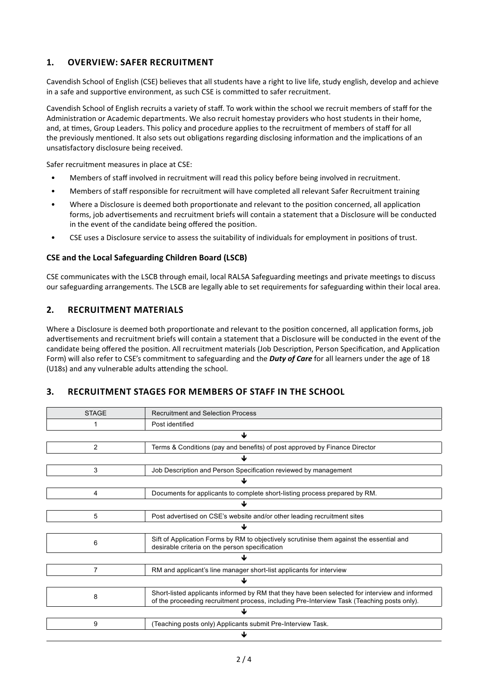## **1. OVERVIEW: SAFER RECRUITMENT**

Cavendish School of English (CSE) believes that all students have a right to live life, study english, develop and achieve in a safe and supportive environment, as such CSE is committed to safer recruitment.

Cavendish School of English recruits a variety of staff. To work within the school we recruit members of staff for the Administration or Academic departments. We also recruit homestay providers who host students in their home, and, at times, Group Leaders. This policy and procedure applies to the recruitment of members of staff for all the previously mentioned. It also sets out obligations regarding disclosing information and the implications of an unsatisfactory disclosure being received.

Safer recruitment measures in place at CSE:

- Members of staff involved in recruitment will read this policy before being involved in recruitment.
- Members of staff responsible for recruitment will have completed all relevant Safer Recruitment training
- Where a Disclosure is deemed both proportionate and relevant to the position concerned, all application forms, job advertisements and recruitment briefs will contain a statement that a Disclosure will be conducted in the event of the candidate being offered the position.
- CSE uses a Disclosure service to assess the suitability of individuals for employment in positions of trust.

#### **CSE and the Local Safeguarding Children Board (LSCB)**

CSE communicates with the LSCB through email, local RALSA Safeguarding meetings and private meetings to discuss our safeguarding arrangements. The LSCB are legally able to set requirements for safeguarding within their local area.

## **2. RECRUITMENT MATERIALS**

Where a Disclosure is deemed both proportionate and relevant to the position concerned, all application forms, job advertisements and recruitment briefs will contain a statement that a Disclosure will be conducted in the event of the candidate being offered the position. All recruitment materials (Job Description, Person Specification, and Application Form) will also refer to CSE's commitment to safeguarding and the *Duty of Care* for all learners under the age of 18 (U18s) and any vulnerable adults attending the school.

## **3. RECRUITMENT STAGES FOR MEMBERS OF STAFF IN THE SCHOOL**

| <b>STAGE</b>   | <b>Recruitment and Selection Process</b>                                                                                                                                                     |  |
|----------------|----------------------------------------------------------------------------------------------------------------------------------------------------------------------------------------------|--|
|                | Post identified                                                                                                                                                                              |  |
| ﯩ              |                                                                                                                                                                                              |  |
| $\overline{2}$ | Terms & Conditions (pay and benefits) of post approved by Finance Director                                                                                                                   |  |
| J              |                                                                                                                                                                                              |  |
| 3              | Job Description and Person Specification reviewed by management                                                                                                                              |  |
|                |                                                                                                                                                                                              |  |
| 4              | Documents for applicants to complete short-listing process prepared by RM.                                                                                                                   |  |
|                |                                                                                                                                                                                              |  |
| 5              | Post advertised on CSE's website and/or other leading recruitment sites                                                                                                                      |  |
| ⅎ              |                                                                                                                                                                                              |  |
| 6              | Sift of Application Forms by RM to objectively scrutinise them against the essential and<br>desirable criteria on the person specification                                                   |  |
|                |                                                                                                                                                                                              |  |
| 7              | RM and applicant's line manager short-list applicants for interview                                                                                                                          |  |
|                |                                                                                                                                                                                              |  |
| 8              | Short-listed applicants informed by RM that they have been selected for interview and informed<br>of the proceeding recruitment process, including Pre-Interview Task (Teaching posts only). |  |
|                |                                                                                                                                                                                              |  |
| 9              | (Teaching posts only) Applicants submit Pre-Interview Task.                                                                                                                                  |  |
|                |                                                                                                                                                                                              |  |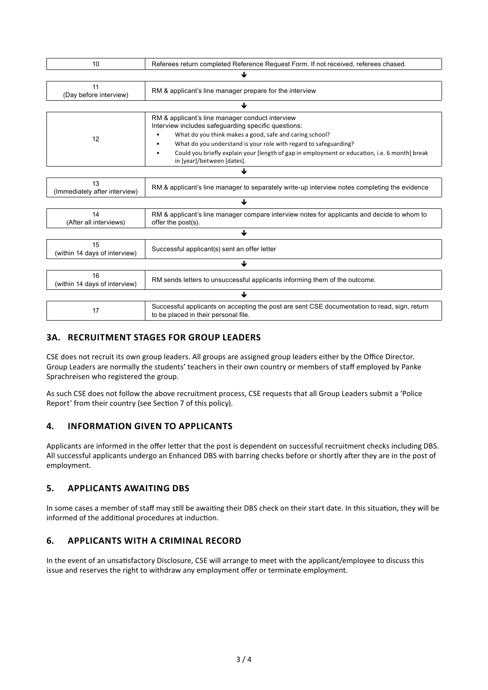| 10                                  | Referees return completed Reference Request Form. If not received, referees chased.                                                  |  |
|-------------------------------------|--------------------------------------------------------------------------------------------------------------------------------------|--|
| J                                   |                                                                                                                                      |  |
| 11<br>(Day before interview)        | RM & applicant's line manager prepare for the interview                                                                              |  |
| J                                   |                                                                                                                                      |  |
| 12                                  | RM & applicant's line manager conduct interview<br>Interview includes safeguarding specific questions:                               |  |
|                                     | What do you think makes a good, safe and caring school?                                                                              |  |
|                                     | What do you understand is your role with regard to safeguarding?                                                                     |  |
|                                     | Could you briefly explain your [length of gap in employment or education, i.e. 6 month] break<br>in [year]/between [dates].          |  |
| ↓                                   |                                                                                                                                      |  |
| 13<br>(Immediately after interview) | RM & applicant's line manager to separately write-up interview notes completing the evidence                                         |  |
| ↓                                   |                                                                                                                                      |  |
| 14<br>(After all interviews)        | RM & applicant's line manager compare interview notes for applicants and decide to whom to<br>offer the post(s).                     |  |
| ↓                                   |                                                                                                                                      |  |
| 15<br>(within 14 days of interview) | Successful applicant(s) sent an offer letter                                                                                         |  |
| ↓                                   |                                                                                                                                      |  |
| 16<br>(within 14 days of interview) | RM sends letters to unsuccessful applicants informing them of the outcome.                                                           |  |
| ↓                                   |                                                                                                                                      |  |
| 17                                  | Successful applicants on accepting the post are sent CSE documentation to read, sign, return<br>to be placed in their personal file. |  |

# **3A. RECRUITMENT STAGES FOR GROUP LEADERS**

CSE does not recruit its own group leaders. All groups are assigned group leaders either by the Office Director. Group Leaders are normally the students' teachers in their own country or members of staff employed by Panke Sprachreisen who registered the group.

As such CSE does not follow the above recruitment process, CSE requests that all Group Leaders submit a 'Police Report' from their country (see Section 7 of this policy).

## **4. INFORMATION GIVEN TO APPLICANTS**

Applicants are informed in the offer letter that the post is dependent on successful recruitment checks including DBS. All successful applicants undergo an Enhanced DBS with barring checks before or shortly after they are in the post of employment.

## **5. APPLICANTS AWAITING DBS**

In some cases a member of staff may still be awaiting their DBS check on their start date. In this situation, they will be informed of the additional procedures at induction.

## **6. APPLICANTS WITH A CRIMINAL RECORD**

In the event of an unsatisfactory Disclosure, CSE will arrange to meet with the applicant/employee to discuss this issue and reserves the right to withdraw any employment offer or terminate employment.